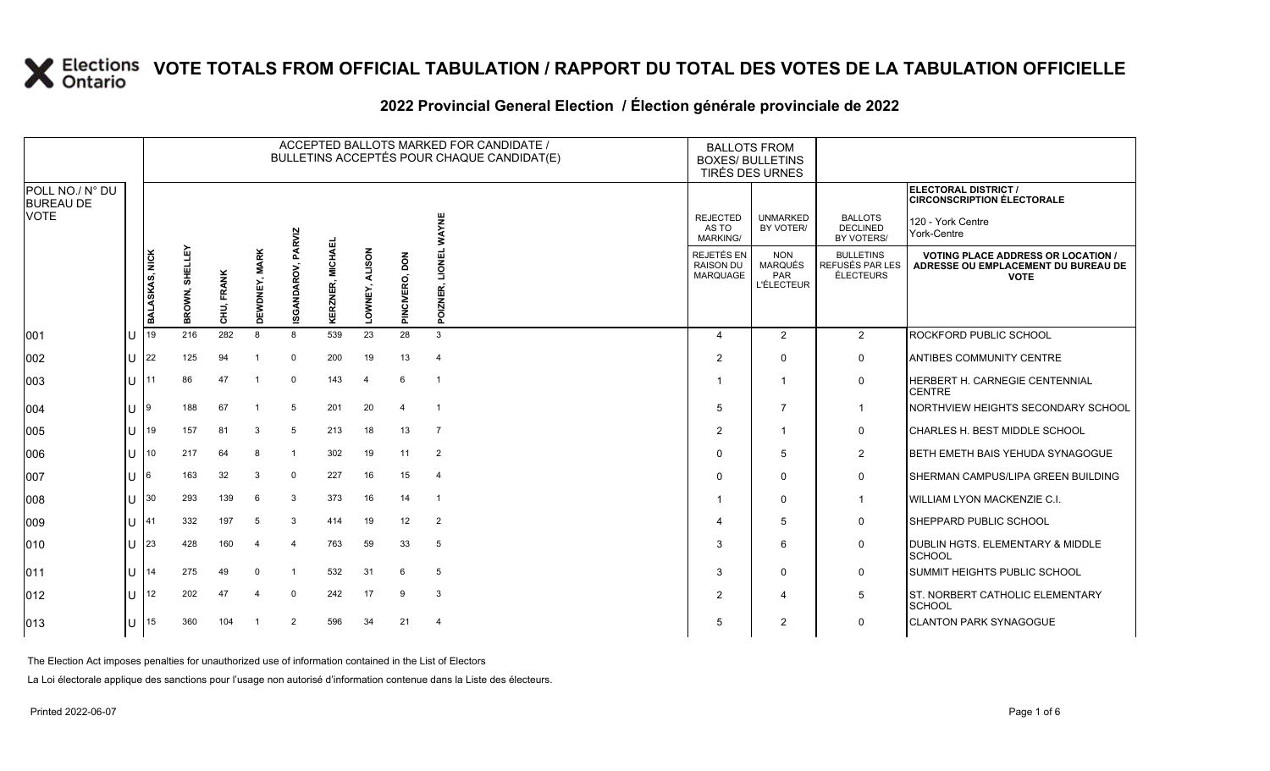|                                     |    |                |                   |            |                         |                    |                                   |                |                | ACCEPTED BALLOTS MARKED FOR CANDIDATE /<br>BULLETINS ACCEPTÉS POUR CHAQUE CANDIDAT(E) |                                                   | <b>BALLOTS FROM</b><br><b>BOXES/ BULLETINS</b><br>TIRÉS DES URNES |                                                         |                                                                                                 |
|-------------------------------------|----|----------------|-------------------|------------|-------------------------|--------------------|-----------------------------------|----------------|----------------|---------------------------------------------------------------------------------------|---------------------------------------------------|-------------------------------------------------------------------|---------------------------------------------------------|-------------------------------------------------------------------------------------------------|
| POLL NO./ N° DU<br><b>BUREAU DE</b> |    |                |                   |            |                         |                    |                                   |                |                |                                                                                       |                                                   |                                                                   |                                                         | ELECTORAL DISTRICT /<br><b>CIRCONSCRIPTION ÉLECTORALE</b>                                       |
| VOTE                                |    |                |                   |            |                         |                    |                                   |                |                | WAYNE                                                                                 | <b>REJECTED</b><br>AS TO<br><b>MARKING/</b>       | <b>UNMARKED</b><br>BY VOTER/                                      | <b>BALLOTS</b><br><b>DECLINED</b><br>BY VOTERS/         | 120 - York Centre<br>York-Centre                                                                |
|                                     |    | BALASKAS, NICK | SHELLEY<br>BROWN, | CHU, FRANK | <b>MARK</b><br>DEWDNEY, | ISGANDAROV, PARVIZ | <b>MICHAEL</b><br><b>KERZNER,</b> | LOWNEY, ALISON | PINCIVERO, DON | <b>LIONEL</b><br>POIZNER,                                                             | REJETÉS EN<br><b>RAISON DU</b><br><b>MARQUAGE</b> | <b>NON</b><br><b>MARQUÉS</b><br>PAR<br><b>L'ÉLECTEUR</b>          | <b>BULLETINS</b><br>REFUSÉS PAR LES<br><b>ÉLECTEURS</b> | <b>VOTING PLACE ADDRESS OR LOCATION /</b><br>ADRESSE OU EMPLACEMENT DU BUREAU DE<br><b>VOTE</b> |
| 001                                 | IU | l 19           | 216               | 282        | 8                       | 8                  | 539                               | 23             | 28             | 3                                                                                     | Δ                                                 | $\overline{2}$                                                    | $\overline{2}$                                          | <b>ROCKFORD PUBLIC SCHOOL</b>                                                                   |
| 002                                 | ΙU | $ 22\rangle$   | 125               | 94         |                         | 0                  | 200                               | 19             | 13             | -4                                                                                    | $\overline{2}$                                    | $\mathbf 0$                                                       | $\mathbf 0$                                             | <b>ANTIBES COMMUNITY CENTRE</b>                                                                 |
| 003                                 | IU |                | 86                | 47         | -1                      | $\mathbf{0}$       | 143                               | $\overline{4}$ | 6              | $\overline{\phantom{0}}$                                                              |                                                   | -1                                                                | 0                                                       | HERBERT H. CARNEGIE CENTENNIAL<br><b>CENTRE</b>                                                 |
| 004                                 | IU | 19             | 188               | 67         | $\overline{1}$          | 5                  | 201                               | 20             | $\overline{a}$ | $\overline{1}$                                                                        | 5                                                 | $\overline{7}$                                                    | $\mathbf 1$                                             | NORTHVIEW HEIGHTS SECONDARY SCHOOL                                                              |
| 005                                 | IU | 19             | 157               | 81         | 3                       | 5                  | 213                               | 18             | 13             | $\overline{7}$                                                                        | 2                                                 | $\overline{1}$                                                    | 0                                                       | CHARLES H. BEST MIDDLE SCHOOL                                                                   |
| 006                                 | IU | 10             | 217               | 64         | 8                       |                    | 302                               | 19             | 11             | $\overline{2}$                                                                        | $\Omega$                                          | 5                                                                 | $\overline{2}$                                          | BETH EMETH BAIS YEHUDA SYNAGOGUE                                                                |
| 007                                 | IU | 16             | 163               | 32         | 3                       | $\Omega$           | 227                               | 16             | 15             | $\overline{\mathbf{4}}$                                                               | $\Omega$                                          | $\mathbf 0$                                                       | 0                                                       | <b>ISHERMAN CAMPUS/LIPA GREEN BUILDING</b>                                                      |
| 008                                 | ΙU | 30             | 293               | 139        | 6                       | 3                  | 373                               | 16             | 14             | - 1                                                                                   |                                                   | $\mathbf 0$                                                       | $\overline{1}$                                          | WILLIAM LYON MACKENZIE C.I.                                                                     |
| 009                                 | IU | 141            | 332               | 197        | 5                       | 3                  | 414                               | 19             | 12             | 2                                                                                     | 4                                                 | 5                                                                 | $\mathsf{O}$                                            | <b>SHEPPARD PUBLIC SCHOOL</b>                                                                   |
| 010                                 | ΙU | 123            | 428               | 160        | $\overline{4}$          | $\overline{4}$     | 763                               | 59             | 33             | 5                                                                                     | 3                                                 | 6                                                                 | 0                                                       | DUBLIN HGTS. ELEMENTARY & MIDDLE<br>SCHOOL                                                      |
| 011                                 | ΙU | 14             | 275               | 49         | $\Omega$                |                    | 532                               | 31             | 6              | 5                                                                                     | 3                                                 | $\mathbf 0$                                                       | $\mathsf{O}$                                            | <b>SUMMIT HEIGHTS PUBLIC SCHOOL</b>                                                             |
| 012                                 | IU | 12             | 202               | 47         | $\overline{4}$          | $\Omega$           | 242                               | 17             | 9              | $\mathbf{3}$                                                                          | $\overline{2}$                                    | $\overline{4}$                                                    | $5\,$                                                   | <b>ST. NORBERT CATHOLIC ELEMENTARY</b><br>SCHOOL                                                |
| 013                                 | ΙU | 15             | 360               | 104        |                         | $\overline{2}$     | 596                               | 34             | 21             | $\overline{4}$                                                                        | 5                                                 | $\overline{2}$                                                    | $\mathbf 0$                                             | <b>ICLANTON PARK SYNAGOGUE</b>                                                                  |

#### **2022 Provincial General Election / Élection générale provinciale de 2022**

The Election Act imposes penalties for unauthorized use of information contained in the List of Electors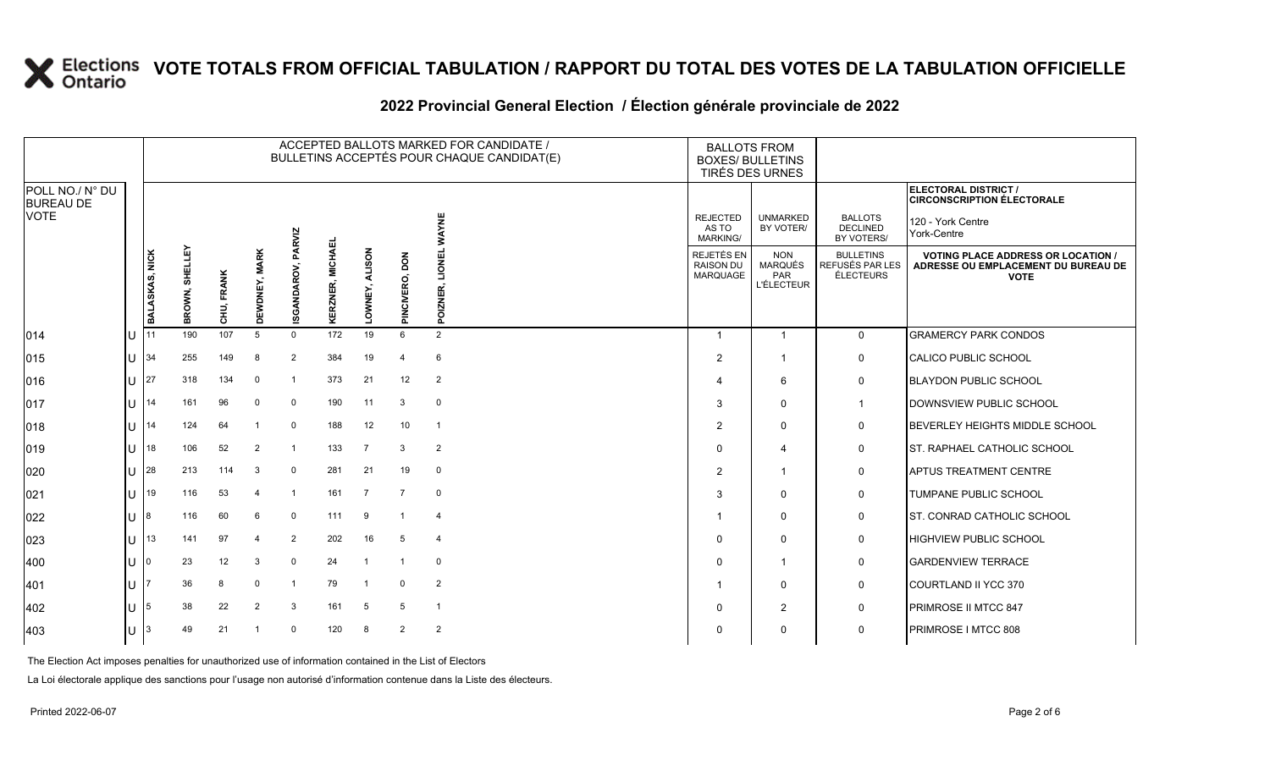|                                     |              |                |                         |            |                        |                |                            |                          |                | ACCEPTED BALLOTS MARKED FOR CANDIDATE /<br>BULLETINS ACCEPTÉS POUR CHAQUE CANDIDAT(E) |                                                   | <b>BALLOTS FROM</b><br><b>BOXES/ BULLETINS</b><br>TIRÉS DES URNES |                                                         |                                                                                                 |
|-------------------------------------|--------------|----------------|-------------------------|------------|------------------------|----------------|----------------------------|--------------------------|----------------|---------------------------------------------------------------------------------------|---------------------------------------------------|-------------------------------------------------------------------|---------------------------------------------------------|-------------------------------------------------------------------------------------------------|
| POLL NO./ N° DU<br><b>BUREAU DE</b> |              |                |                         |            |                        |                |                            |                          |                |                                                                                       |                                                   |                                                                   |                                                         | ELECTORAL DISTRICT /<br><b>CIRCONSCRIPTION ÉLECTORALE</b>                                       |
| <b>VOTE</b>                         |              |                | SHELLEY<br><b>BROWN</b> |            |                        | PARVIZ         |                            |                          |                | WAYNE                                                                                 | <b>REJECTED</b><br>AS TO<br><b>MARKING/</b>       | <b>UNMARKED</b><br>BY VOTER/                                      | <b>BALLOTS</b><br><b>DECLINED</b><br>BY VOTERS/         | 120 - York Centre<br>York-Centre                                                                |
|                                     |              | BALASKAS, NICK |                         | CHU, FRANK | <b>MARK</b><br>DEWDNEY | ISGANDAROV,    | <b>MICHAEL</b><br>KERZNER, | <b>ALISON</b><br>LOWNEY, | PINCIVERO, DON | <b>LIONEL</b><br>冚<br>POIZNE                                                          | <b>REJETÉS EN</b><br><b>RAISON DU</b><br>MARQUAGE | <b>NON</b><br>MARQUÉS<br><b>PAR</b><br><b>L'ÉLECTEUR</b>          | <b>BULLETINS</b><br>REFUSÉS PAR LES<br><b>ÉLECTEURS</b> | <b>VOTING PLACE ADDRESS OR LOCATION /</b><br>ADRESSE OU EMPLACEMENT DU BUREAU DE<br><b>VOTE</b> |
| 014                                 | <b>U</b> 111 |                | 190                     | 107        | 5                      | $\Omega$       | 172                        | 19                       | 6              | 2                                                                                     | $\overline{1}$                                    | $\mathbf{1}$                                                      | $\Omega$                                                | <b>GRAMERCY PARK CONDOS</b>                                                                     |
| 015                                 |              | $U$ 34         | 255                     | 149        | 8                      | 2              | 384                        | 19                       | 4              | 6                                                                                     | $\overline{c}$                                    | -1                                                                | 0                                                       | CALICO PUBLIC SCHOOL                                                                            |
| 016                                 | U            | 127            | 318                     | 134        | $\mathbf 0$            | $\mathbf{1}$   | 373                        | 21                       | 12             | $\overline{2}$                                                                        | 4                                                 | 6                                                                 | $\mathbf 0$                                             | <b>BLAYDON PUBLIC SCHOOL</b>                                                                    |
| 017                                 | $U$ 14       |                | 161                     | 96         | $\mathbf 0$            | 0              | 190                        | 11                       | 3              | $\mathbf 0$                                                                           | 3                                                 | $\mathbf{0}$                                                      | $\mathbf{1}$                                            | DOWNSVIEW PUBLIC SCHOOL                                                                         |
| 018                                 | $11$ 14      |                | 124                     | 64         | $\mathbf{1}$           | 0              | 188                        | 12                       | 10             | - 1                                                                                   | 2                                                 | $\Omega$                                                          | 0                                                       | BEVERLEY HEIGHTS MIDDLE SCHOOL                                                                  |
| 019                                 |              | U $18$         | 106                     | 52         | $\overline{2}$         | $\mathbf 1$    | 133                        | $\overline{7}$           | 3              | $\overline{2}$                                                                        | 0                                                 | $\overline{\bf{4}}$                                               | 0                                                       | <b>ST. RAPHAEL CATHOLIC SCHOOL</b>                                                              |
| 020                                 |              | U 28           | 213                     | 114        | 3                      | $\mathbf 0$    | 281                        | 21                       | 19             | $\mathbf 0$                                                                           | $\overline{c}$                                    | -1                                                                | $\mathbf 0$                                             | <b>APTUS TREATMENT CENTRE</b>                                                                   |
| 021                                 |              | $ 1 $ 19       | 116                     | 53         | $\overline{4}$         | $\overline{1}$ | 161                        | $\overline{7}$           | $\overline{7}$ | $\overline{0}$                                                                        | 3                                                 | $\Omega$                                                          | $\mathbf 0$                                             | <b>TUMPANE PUBLIC SCHOOL</b>                                                                    |
| 022                                 | U            | -18            | 116                     | 60         | 6                      | 0              | 111                        | 9                        | $\overline{1}$ | $\overline{4}$                                                                        |                                                   | $\Omega$                                                          | 0                                                       | IST. CONRAD CATHOLIC SCHOOL                                                                     |
| 023                                 |              | U $\vert$ 13   | 141                     | 97         | $\overline{4}$         | $\overline{2}$ | 202                        | 16                       | 5              | $\overline{4}$                                                                        | $\Omega$                                          | $\Omega$                                                          | 0                                                       | <b>HIGHVIEW PUBLIC SCHOOL</b>                                                                   |
| 400                                 | U            | 10             | 23                      | 12         | 3                      | $\mathbf 0$    | 24                         | - 1                      | $\overline{1}$ | 0                                                                                     | $\Omega$                                          | -1                                                                | 0                                                       | <b>GARDENVIEW TERRACE</b>                                                                       |
| 401                                 | U            |                | 36                      | 8          | $\mathbf 0$            | -1             | 79                         | -1                       | $\mathsf{O}$   | $\overline{2}$                                                                        |                                                   | 0                                                                 | 0                                                       | COURTLAND II YCC 370                                                                            |
| 402                                 | U            | - 15           | 38                      | 22         | $\overline{2}$         | 3              | 161                        | 5                        | 5              | -1                                                                                    | 0                                                 | 2                                                                 | 0                                                       | PRIMROSE II MTCC 847                                                                            |
| 403                                 | $U$ 3        |                | 49                      | 21         | $\mathbf{1}$           | $\mathbf 0$    | 120                        | 8                        | $\overline{2}$ | $\overline{2}$                                                                        | $\Omega$                                          | $\Omega$                                                          | $\mathbf 0$                                             | PRIMROSE I MTCC 808                                                                             |

#### **2022 Provincial General Election / Élection générale provinciale de 2022**

The Election Act imposes penalties for unauthorized use of information contained in the List of Electors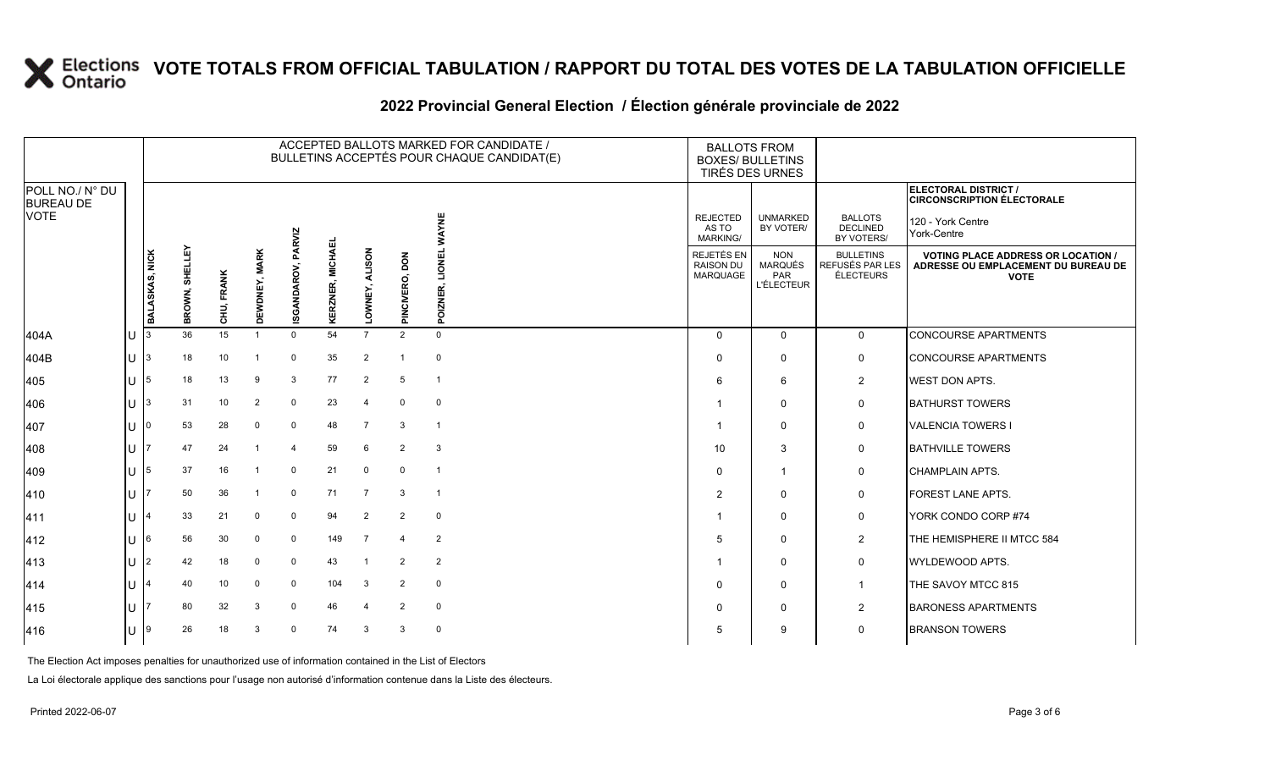#### ACCEPTED BALLOTS MARKED FOR CANDIDATE / BULLETINS ACCEPTÉS POUR CHAQUE CANDIDAT(E) BALLOTS FROM BOXES/ BULLETINS TIRÉS DES URNES REJECTED AS TO MARKING/ REJETÉS EN RAISON DU MARQUAGE UNMARKED BY VOTER/ NON MARQUÉS PAR L'ÉLECTEUR BALLOTS DECLINED BY VOTERS/ BULLETINS REFUSÉS PAR LES ÉLECTEURS **ELECTORAL DISTRICT / CIRCONSCRIPTION ÉLECTORALE** 120 - York Centre York-Centre **VOTE**

**2022 Provincial General Election / Élection générale provinciale de 2022**

|                                     |     |                |                   |            |                |                |                              |                     |                  | BULLETINS ACCEPTES POUR CHAQUE CANDIDAT(E) |                                             | <b>BOXES/ BULLETINS</b><br>TIRÉS DES URNES        |                                                  |                                                                                                 |
|-------------------------------------|-----|----------------|-------------------|------------|----------------|----------------|------------------------------|---------------------|------------------|--------------------------------------------|---------------------------------------------|---------------------------------------------------|--------------------------------------------------|-------------------------------------------------------------------------------------------------|
| POLL NO./ N° DU<br><b>BUREAU DE</b> |     |                |                   |            |                |                |                              |                     |                  |                                            |                                             |                                                   |                                                  | ELECTORAL DISTRICT /<br><b>CIRCONSCRIPTION ÉLECTORALE</b>                                       |
| <b>VOTE</b>                         |     |                |                   |            |                | PARVIZ         | ᇳ                            |                     |                  | <b>NAYNE</b>                               | <b>REJECTED</b><br>AS TO<br><b>MARKING/</b> | <b>UNMARKED</b><br>BY VOTER/                      | <b>BALLOTS</b><br><b>DECLINED</b><br>BY VOTERS/  | 120 - York Centre<br>York-Centre                                                                |
|                                     |     | BALASKAS, NICK | SHELLEY<br>BROWN, | CHU, FRANK | DEWDNEY, MARK  | ISGANDAROV,    | <b>MICHAI</b><br>Œ,<br>ERZNI | <b>ALISON</b>       | δq<br>PINCIVERO, | LIONEI<br>ш<br>ਠ                           | REJETÉS EN<br>RAISON DU<br>MARQUAGE         | <b>NON</b><br>MARQUÉS<br>PAR<br><b>L'ÉLECTEUR</b> | <b>BULLETINS</b><br>REFUSÉS PAR LES<br>ÉLECTEURS | <b>VOTING PLACE ADDRESS OR LOCATION /</b><br>ADRESSE OU EMPLACEMENT DU BUREAU DE<br><b>VOTE</b> |
| 404A                                | IU  | 3              | 36                | 15         |                | $\mathbf 0$    | 54                           | $\overline{7}$      | $\overline{2}$   | o.<br>$\Omega$                             | $\Omega$                                    | $\mathbf 0$                                       | $\mathbf 0$                                      | <b>CONCOURSE APARTMENTS</b>                                                                     |
| 404B                                | ΙU  | 3              | 18                | 10         |                | 0              | 35                           | $\overline{2}$      | -1               | 0                                          | $\Omega$                                    | 0                                                 | 0                                                | <b>CONCOURSE APARTMENTS</b>                                                                     |
| 405                                 | lul | 15             | 18                | 13         | 9              | 3              | 77                           | $\overline{2}$      | 5                | $\overline{1}$                             | 6                                           | 6                                                 | $\overline{2}$                                   | <b>WEST DON APTS.</b>                                                                           |
| 406                                 | ΙUΓ | 13             | 31                | 10         | $\overline{2}$ | 0              | 23                           | -4                  | 0                | 0                                          |                                             | 0                                                 | $\mathsf{O}$                                     | <b>BATHURST TOWERS</b>                                                                          |
| 407                                 | lU  |                | 53                | 28         | $\Omega$       | 0              | 48                           | $\overline{7}$      | 3                | $\overline{\mathbf{1}}$                    |                                             | $\mathbf 0$                                       | $\mathsf{O}$                                     | <b>VALENCIA TOWERS I</b>                                                                        |
| 408                                 | IU  |                | 47                | 24         |                | $\overline{4}$ | 59                           | 6                   | $\overline{2}$   | 3                                          | 10                                          | 3                                                 | 0                                                | <b>BATHVILLE TOWERS</b>                                                                         |
| 409                                 | IU  | 15             | 37                | 16         |                | $\mathbf 0$    | 21                           | $\mathbf 0$         | $\mathbf 0$      | $\overline{\phantom{0}}$                   | $\Omega$                                    |                                                   | $\mathbf 0$                                      | <b>CHAMPLAIN APTS.</b>                                                                          |
| 410                                 | IU  |                | 50                | 36         |                | 0              | 71                           | $\overline{7}$      | 3                | $\overline{\mathbf{1}}$                    | $\overline{2}$                              | 0                                                 | $\mathsf{O}$                                     | FOREST LANE APTS.                                                                               |
| 411                                 | IU  |                | 33                | 21         | $\Omega$       | 0              | 94                           | $\overline{2}$      | $\overline{2}$   | 0                                          |                                             | 0                                                 | 0                                                | YORK CONDO CORP #74                                                                             |
| 412                                 | lul | 16             | 56                | 30         | $\Omega$       | 0              | 149                          | $\overline{7}$      | 4                | $\overline{2}$                             | 5                                           | $\mathbf 0$                                       | $\overline{2}$                                   | THE HEMISPHERE II MTCC 584                                                                      |
| 413                                 | IU  | 12             | 42                | 18         | $\mathbf 0$    | 0              | 43                           |                     | $\overline{2}$   | $\overline{2}$                             |                                             | 0                                                 | $\mathsf{O}$                                     | WYLDEWOOD APTS.                                                                                 |
| 414                                 | IU  |                | 40                | 10         | $\Omega$       | $\mathbf 0$    | 104                          | 3                   | $\overline{2}$   | $\mathbf 0$                                | 0                                           | 0                                                 | $\mathbf{1}$                                     | THE SAVOY MTCC 815                                                                              |
| 415                                 | IU  |                | 80                | 32         | 3              | 0              | 46                           | $\overline{\bf{4}}$ | $\overline{2}$   | 0                                          | <sup>0</sup>                                | 0                                                 | $\overline{2}$                                   | <b>BARONESS APARTMENTS</b>                                                                      |
| 416                                 | IU  | 19             | 26                | 18         | 3              | $\Omega$       | 74                           | 3                   | 3                | 0                                          | 5                                           | 9                                                 | $\mathbf 0$                                      | <b>BRANSON TOWERS</b>                                                                           |
|                                     |     |                |                   |            |                |                |                              |                     |                  |                                            |                                             |                                                   |                                                  |                                                                                                 |

The Election Act imposes penalties for unauthorized use of information contained in the List of Electors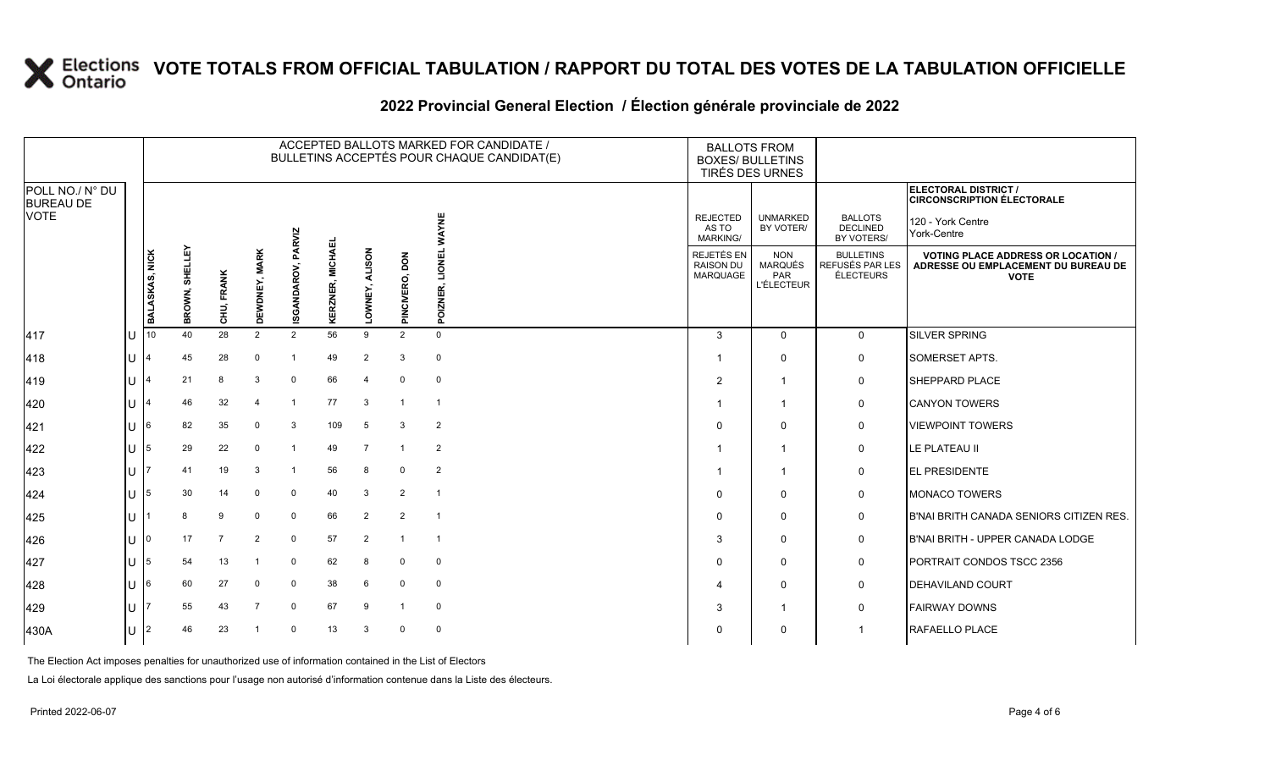#### **2022 Provincial General Election / Élection générale provinciale de 2022**

|                                     |              |                 |                   |            |                      |                |                            |                         |                  | ACCEPTED BALLOTS MARKED FOR CANDIDATE /<br>BULLETINS ACCEPTÉS POUR CHAQUE CANDIDAT(E) |                                             | <b>BALLOTS FROM</b><br><b>BOXES/ BULLETINS</b><br>TIRÉS DES URNES |                                                         |                                                                                                 |
|-------------------------------------|--------------|-----------------|-------------------|------------|----------------------|----------------|----------------------------|-------------------------|------------------|---------------------------------------------------------------------------------------|---------------------------------------------|-------------------------------------------------------------------|---------------------------------------------------------|-------------------------------------------------------------------------------------------------|
| POLL NO./ N° DU<br><b>BUREAU DE</b> |              |                 |                   |            |                      |                |                            |                         |                  |                                                                                       |                                             |                                                                   |                                                         | <b>ELECTORAL DISTRICT /</b><br><b>CIRCONSCRIPTION ÉLECTORALE</b>                                |
| <b>VOTE</b>                         |              |                 |                   |            |                      | PARVIZ         |                            |                         |                  | ₹                                                                                     | <b>REJECTED</b><br>AS TO<br><b>MARKING/</b> | <b>UNMARKED</b><br>BY VOTER/                                      | <b>BALLOTS</b><br><b>DECLINED</b><br>BY VOTERS/         | 120 - York Centre<br>York-Centre                                                                |
|                                     |              | BALASKAS, NICK  | SHELLEY<br>BROWN, | CHU, FRANK | <b>DEWDNEY, MARK</b> | ISGANDAROV,    | <b>MICHAEL</b><br>KERZNER, | <b>ALISON</b><br>OWNEY, | õо<br>PINCIVERO, | MOTI<br>POIZNI                                                                        | REJETÉS EN<br><b>RAISON DU</b><br>MARQUAGE  | <b>NON</b><br><b>MARQUÉS</b><br>PAR<br><b>L'ÉLECTEUR</b>          | <b>BULLETINS</b><br>REFUSÉS PAR LES<br><b>ÉLECTEURS</b> | <b>VOTING PLACE ADDRESS OR LOCATION /</b><br>ADRESSE OU EMPLACEMENT DU BUREAU DE<br><b>VOTE</b> |
| 417                                 | U            | 10 <sup>1</sup> | 40                | 28         | 2                    | $\overline{2}$ | 56                         | 9                       | 2                | $\Omega$                                                                              | 3                                           | $\mathbf{0}$                                                      | 0                                                       | SILVER SPRING                                                                                   |
| 418                                 | lU.          |                 | 45                | 28         | $\mathbf 0$          | $\overline{1}$ | 49                         | $\overline{2}$          | 3                | $\mathbf 0$                                                                           | -1                                          | $\mathbf 0$                                                       | 0                                                       | SOMERSET APTS.                                                                                  |
| 419                                 | U            |                 | 21                | 8          | 3                    | $\mathbf 0$    | 66                         | $\overline{4}$          | 0                | $\mathbf 0$                                                                           | $\overline{2}$                              | $\mathbf{1}$                                                      | $\mathbf 0$                                             | SHEPPARD PLACE                                                                                  |
| 420                                 | U            |                 | 46                | 32         |                      | $\overline{1}$ | 77                         | 3                       | $\mathbf{1}$     | -1                                                                                    |                                             | $\mathbf{1}$                                                      | 0                                                       | <b>CANYON TOWERS</b>                                                                            |
| 421                                 | U            | 16              | 82                | 35         | $\Omega$             | 3              | 109                        | 5                       | 3                | $\overline{2}$                                                                        | $\Omega$                                    | $\mathbf{0}$                                                      | 0                                                       | <b>VIEWPOINT TOWERS</b>                                                                         |
| 422                                 | IU.          | 15.             | 29                | 22         | $\Omega$             | -1             | 49                         | $\overline{7}$          | -1               | $\overline{2}$                                                                        | 1                                           | $\mathbf{1}$                                                      | 0                                                       | LE PLATEAU II                                                                                   |
| 423                                 | $\mathbf{U}$ |                 | 41                | 19         | 3                    | $\overline{1}$ | 56                         | 8                       | 0                | $\overline{2}$                                                                        |                                             | -1                                                                | 0                                                       | EL PRESIDENTE                                                                                   |
| 424                                 | U            | 15              | 30                | 14         | $\mathbf 0$          | 0              | 40                         | 3                       | 2                | $\mathbf{1}$                                                                          | $\Omega$                                    | $\mathbf{0}$                                                      | 0                                                       | <b>MONACO TOWERS</b>                                                                            |
| 425                                 | lU.          |                 | 8                 | 9          | $\Omega$             | 0              | 66                         | $\overline{2}$          | $\overline{2}$   | $\overline{1}$                                                                        | $\Omega$                                    | $\mathbf{0}$                                                      | 0                                                       | B'NAI BRITH CANADA SENIORS CITIZEN RES.                                                         |
| 426                                 | U            | ı٥              | 17                |            | 2                    | $\mathbf 0$    | 57                         | 2                       | -1               | -1                                                                                    | 3                                           | 0                                                                 | 0                                                       | B'NAI BRITH - UPPER CANADA LODGE                                                                |
| 427                                 | U            | 15              | 54                | 13         |                      | 0              | 62                         | 8                       | 0                | 0                                                                                     | $\Omega$                                    | $\mathbf 0$                                                       | 0                                                       | PORTRAIT CONDOS TSCC 2356                                                                       |
| 428                                 | U            | l6              | 60                | 27         | $\Omega$             | 0              | 38                         | 6                       | 0                | $\mathbf 0$                                                                           | 4                                           | $\Omega$                                                          | $\mathbf 0$                                             | <b>DEHAVILAND COURT</b>                                                                         |
| 429                                 | U            |                 | 55                | 43         | 7                    | 0              | 67                         | 9                       | $\overline{1}$   | 0                                                                                     | 3                                           | $\mathbf{1}$                                                      | $\mathbf 0$                                             | <b>FAIRWAY DOWNS</b>                                                                            |
| 430A                                | U            |                 | 46                | 23         |                      | $\Omega$       | 13                         | 3                       | $\mathbf 0$      | $\Omega$                                                                              | $\Omega$                                    | $\mathbf{0}$                                                      | 1                                                       | RAFAELLO PLACE                                                                                  |

The Election Act imposes penalties for unauthorized use of information contained in the List of Electors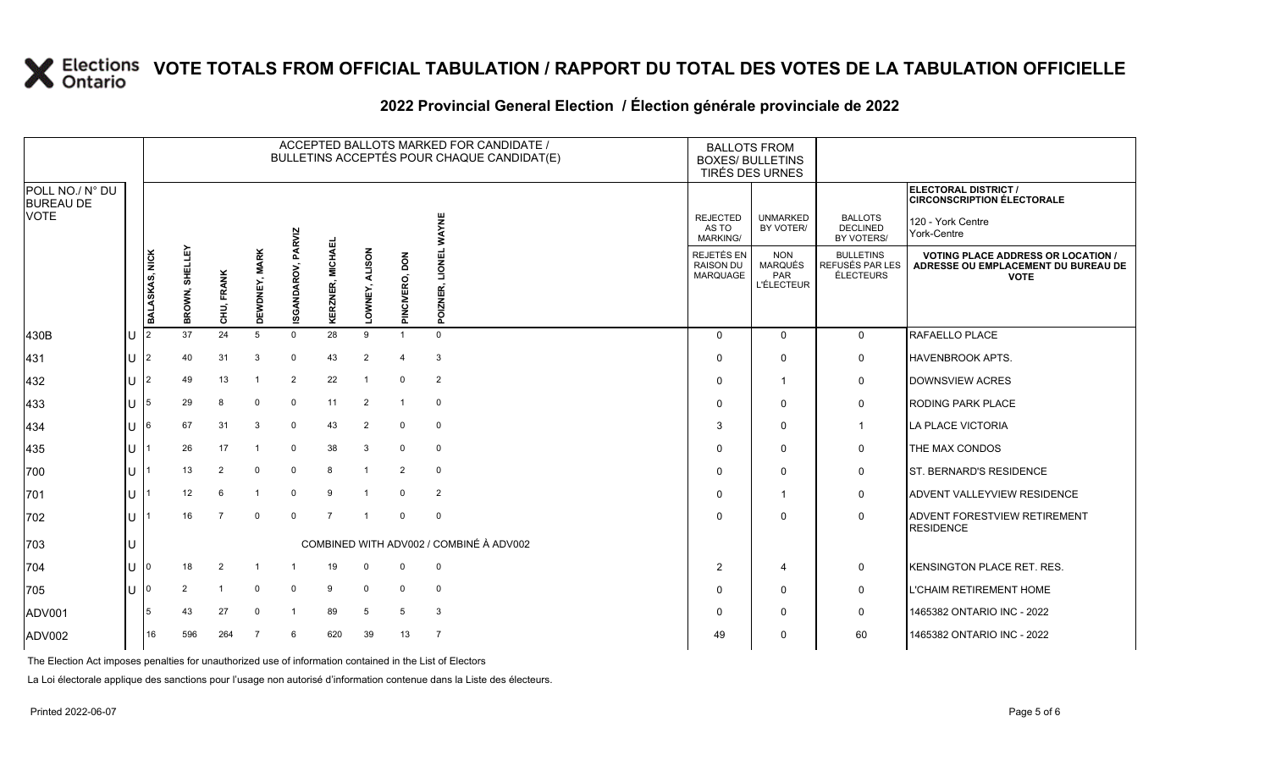# **2022 Provincial General Election / Élection générale provinciale de 2022**

|                                     |                       |                   |                |               |                    |                  |                         |                          | ACCEPTED BALLOTS MARKED FOR CANDIDATE /<br>BULLETINS ACCEPTÉS POUR CHAQUE CANDIDAT(E) | <b>BALLOTS FROM</b><br><b>BOXES/ BULLETINS</b><br>TIRÉS DES URNES |                                                                 |                                                  |                                                                                                 |
|-------------------------------------|-----------------------|-------------------|----------------|---------------|--------------------|------------------|-------------------------|--------------------------|---------------------------------------------------------------------------------------|-------------------------------------------------------------------|-----------------------------------------------------------------|--------------------------------------------------|-------------------------------------------------------------------------------------------------|
| POLL NO./ N° DU<br><b>BUREAU DE</b> |                       |                   |                |               |                    |                  |                         |                          |                                                                                       |                                                                   |                                                                 |                                                  | ELECTORAL DISTRICT /<br><b>CIRCONSCRIPTION ÉLECTORALE</b>                                       |
| <b>VOTE</b>                         |                       |                   |                |               |                    |                  |                         |                          | <b>AYNE</b>                                                                           | <b>REJECTED</b><br>AS TO<br><b>MARKING/</b>                       | <b>UNMARKED</b><br>BY VOTER/                                    | <b>BALLOTS</b><br><b>DECLINED</b><br>BY VOTERS/  | 120 - York Centre<br>York-Centre                                                                |
|                                     | <b>BALASKAS, NICK</b> | SHELLEY<br>BROWN, | CHU, FRANK     | DEWDNEY, MARK | ISGANDAROV, PARVIZ | KERZNER, MICHAEI | <b>ALISON</b><br>OWNEY, | <b>NOC</b><br>PINCIVERO, | LIONEI<br>POIZNER                                                                     | REJETÉS EN<br><b>RAISON DU</b><br>MARQUAGE                        | <b>NON</b><br><b>MARQUÉS</b><br><b>PAR</b><br><b>L'ÉLECTEUR</b> | <b>BULLETINS</b><br>REFUSÉS PAR LES<br>ÉLECTEURS | <b>VOTING PLACE ADDRESS OR LOCATION /</b><br>ADRESSE OU EMPLACEMENT DU BUREAU DE<br><b>VOTE</b> |
| 430B                                |                       | 37                | 24             | 5             | $\Omega$           | 28               | 9                       | $\overline{1}$           | $\Omega$                                                                              | $\mathbf 0$                                                       | $\mathbf 0$                                                     | $\mathbf 0$                                      | RAFAELLO PLACE                                                                                  |
| 431                                 |                       | 40                | 31             | 3             | $\mathbf 0$        | 43               | $\overline{2}$          | $\overline{\mathbf{4}}$  | 3                                                                                     | $\Omega$                                                          | 0                                                               | 0                                                | <b>HAVENBROOK APTS.</b>                                                                         |
| 432                                 |                       | 49                | 13             |               | $\overline{2}$     | 22               | $\overline{1}$          | $\Omega$                 | $\overline{2}$                                                                        | $\Omega$                                                          | $\mathbf{1}$                                                    | 0                                                | DOWNSVIEW ACRES                                                                                 |
| 433                                 |                       | 29                | 8              | $\Omega$      | 0                  | 11               | $\overline{2}$          | $\overline{1}$           | $\mathbf 0$                                                                           | $\Omega$                                                          | $\mathbf 0$                                                     | 0                                                | <b>RODING PARK PLACE</b>                                                                        |
| 434                                 |                       | 67                | 31             | 3             | $\mathbf 0$        | 43               | $\overline{2}$          | $\Omega$                 | $\mathbf 0$                                                                           | 3                                                                 | 0                                                               | $\mathbf{1}$                                     | LA PLACE VICTORIA                                                                               |
| 435                                 |                       | 26                | 17             |               | $\mathbf 0$        | 38               | 3                       | $\Omega$                 | $\mathbf 0$                                                                           | $\Omega$                                                          | 0                                                               | 0                                                | THE MAX CONDOS                                                                                  |
| 700                                 |                       | 13                | $\overline{2}$ | $\mathbf 0$   | $\mathbf 0$        | 8                | $\overline{1}$          | $\overline{2}$           | $\mathbf 0$                                                                           | $\Omega$                                                          | $\Omega$                                                        | 0                                                | <b>ST. BERNARD'S RESIDENCE</b>                                                                  |
| 701                                 |                       | 12                | 6              |               | $\mathbf 0$        | 9                |                         | $\Omega$                 | 2                                                                                     | $\Omega$                                                          | $\overline{\mathbf{1}}$                                         | 0                                                | ADVENT VALLEYVIEW RESIDENCE                                                                     |
| 702                                 |                       | 16                | $\overline{7}$ | $\Omega$      | $\Omega$           | $\overline{7}$   | $\overline{1}$          | $\Omega$                 | $\mathbf 0$                                                                           | $\Omega$                                                          | $\Omega$                                                        | $\mathbf 0$                                      | <b>ADVENT FORESTVIEW RETIREMENT</b><br><b>RESIDENCE</b>                                         |
| 703                                 |                       |                   |                |               |                    |                  |                         |                          | COMBINED WITH ADV002 / COMBINÉ À ADV002                                               |                                                                   |                                                                 |                                                  |                                                                                                 |
| 704                                 | 0                     | 18                | $\overline{2}$ |               |                    | 19               | 0                       | $\Omega$                 | $\mathbf 0$                                                                           | $\overline{2}$                                                    | 4                                                               | 0                                                | KENSINGTON PLACE RET. RES.                                                                      |
| 705                                 |                       | $\overline{2}$    |                | $\Omega$      | $\mathbf 0$        | 9                | $\mathbf 0$             | $\Omega$                 | $\mathbf 0$                                                                           | $\Omega$                                                          | 0                                                               | 0                                                | L'CHAIM RETIREMENT HOME                                                                         |
| ADV001                              |                       | 43                | 27             | $\Omega$      | $\mathbf 1$        | 89               | 5                       | 5                        | 3                                                                                     | $\Omega$                                                          | $\Omega$                                                        | 0                                                | 1465382 ONTARIO INC - 2022                                                                      |
| ADV002                              | 16                    | 596               | 264            |               | 6                  | 620              | 39                      | 13                       | $\overline{7}$                                                                        | 49                                                                | 0                                                               | 60                                               | 1465382 ONTARIO INC - 2022                                                                      |

The Election Act imposes penalties for unauthorized use of information contained in the List of Electors